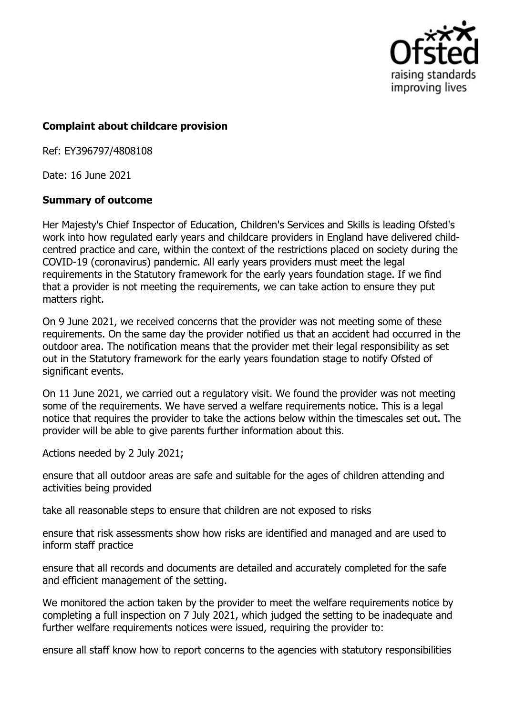

## **Complaint about childcare provision**

Ref: EY396797/4808108

Date: 16 June 2021

## **Summary of outcome**

Her Majesty's Chief Inspector of Education, Children's Services and Skills is leading Ofsted's work into how regulated early years and childcare providers in England have delivered childcentred practice and care, within the context of the restrictions placed on society during the COVID-19 (coronavirus) pandemic. All early years providers must meet the legal requirements in the Statutory framework for the early years foundation stage. If we find that a provider is not meeting the requirements, we can take action to ensure they put matters right.

On 9 June 2021, we received concerns that the provider was not meeting some of these requirements. On the same day the provider notified us that an accident had occurred in the outdoor area. The notification means that the provider met their legal responsibility as set out in the Statutory framework for the early years foundation stage to notify Ofsted of significant events.

On 11 June 2021, we carried out a regulatory visit. We found the provider was not meeting some of the requirements. We have served a welfare requirements notice. This is a legal notice that requires the provider to take the actions below within the timescales set out. The provider will be able to give parents further information about this.

Actions needed by 2 July 2021;

ensure that all outdoor areas are safe and suitable for the ages of children attending and activities being provided

take all reasonable steps to ensure that children are not exposed to risks

ensure that risk assessments show how risks are identified and managed and are used to inform staff practice

ensure that all records and documents are detailed and accurately completed for the safe and efficient management of the setting.

We monitored the action taken by the provider to meet the welfare requirements notice by completing a full inspection on 7 July 2021, which judged the setting to be inadequate and further welfare requirements notices were issued, requiring the provider to:

ensure all staff know how to report concerns to the agencies with statutory responsibilities